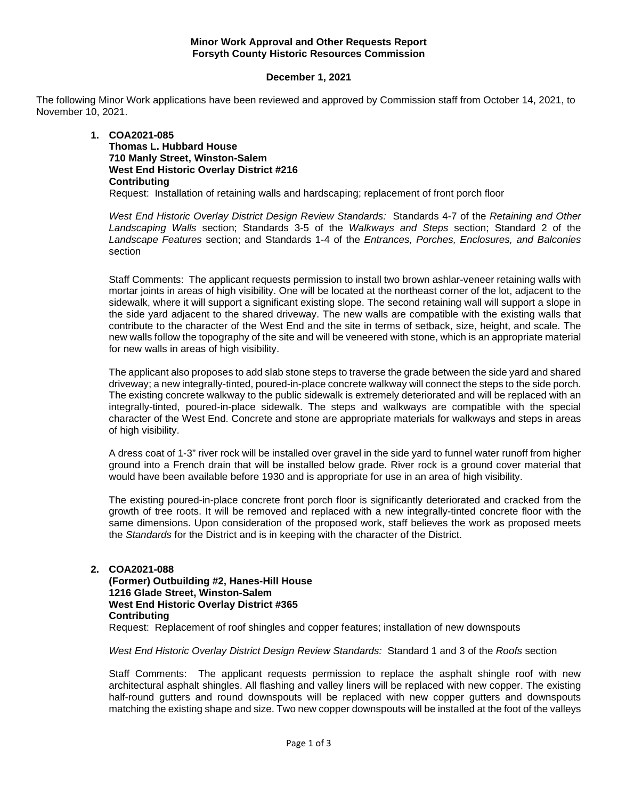#### **Minor Work Approval and Other Requests Report Forsyth County Historic Resources Commission**

#### **December 1, 2021**

The following Minor Work applications have been reviewed and approved by Commission staff from October 14, 2021, to November 10, 2021.

#### **1. COA2021-085 Thomas L. Hubbard House 710 Manly Street, Winston-Salem West End Historic Overlay District #216 Contributing** Request: Installation of retaining walls and hardscaping; replacement of front porch floor

*West End Historic Overlay District Design Review Standards:* Standards 4-7 of the *Retaining and Other Landscaping Walls* section; Standards 3-5 of the *Walkways and Steps* section; Standard 2 of the *Landscape Features* section; and Standards 1-4 of the *Entrances, Porches, Enclosures, and Balconies* section

Staff Comments: The applicant requests permission to install two brown ashlar-veneer retaining walls with mortar joints in areas of high visibility. One will be located at the northeast corner of the lot, adjacent to the sidewalk, where it will support a significant existing slope. The second retaining wall will support a slope in the side yard adjacent to the shared driveway. The new walls are compatible with the existing walls that contribute to the character of the West End and the site in terms of setback, size, height, and scale. The new walls follow the topography of the site and will be veneered with stone, which is an appropriate material for new walls in areas of high visibility.

The applicant also proposes to add slab stone steps to traverse the grade between the side yard and shared driveway; a new integrally-tinted, poured-in-place concrete walkway will connect the steps to the side porch. The existing concrete walkway to the public sidewalk is extremely deteriorated and will be replaced with an integrally-tinted, poured-in-place sidewalk. The steps and walkways are compatible with the special character of the West End. Concrete and stone are appropriate materials for walkways and steps in areas of high visibility.

A dress coat of 1-3" river rock will be installed over gravel in the side yard to funnel water runoff from higher ground into a French drain that will be installed below grade. River rock is a ground cover material that would have been available before 1930 and is appropriate for use in an area of high visibility.

The existing poured-in-place concrete front porch floor is significantly deteriorated and cracked from the growth of tree roots. It will be removed and replaced with a new integrally-tinted concrete floor with the same dimensions. Upon consideration of the proposed work, staff believes the work as proposed meets the *Standards* for the District and is in keeping with the character of the District.

#### **2. COA2021-088**

**(Former) Outbuilding #2, Hanes-Hill House 1216 Glade Street, Winston-Salem West End Historic Overlay District #365 Contributing** Request: Replacement of roof shingles and copper features; installation of new downspouts

*West End Historic Overlay District Design Review Standards:* Standard 1 and 3 of the *Roofs* section

Staff Comments: The applicant requests permission to replace the asphalt shingle roof with new architectural asphalt shingles. All flashing and valley liners will be replaced with new copper. The existing half-round gutters and round downspouts will be replaced with new copper gutters and downspouts matching the existing shape and size. Two new copper downspouts will be installed at the foot of the valleys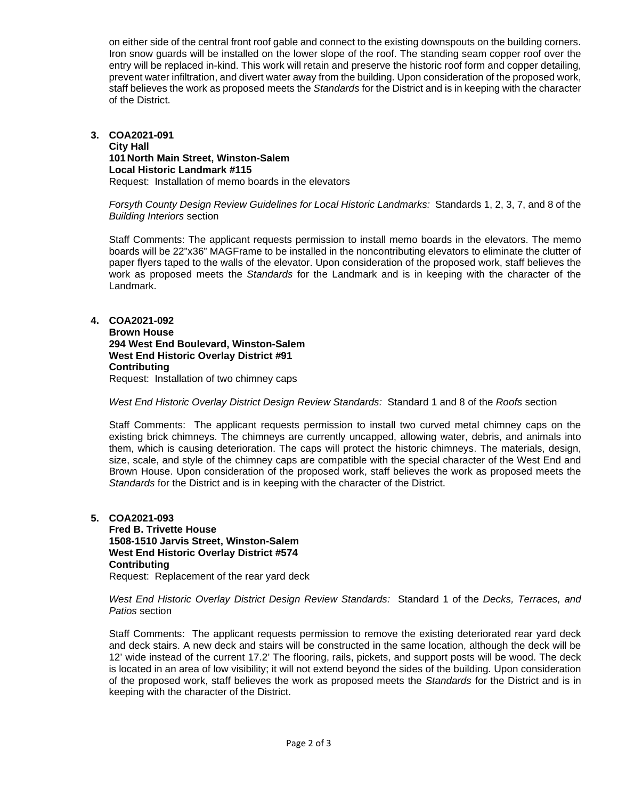on either side of the central front roof gable and connect to the existing downspouts on the building corners. Iron snow guards will be installed on the lower slope of the roof. The standing seam copper roof over the entry will be replaced in-kind. This work will retain and preserve the historic roof form and copper detailing, prevent water infiltration, and divert water away from the building. Upon consideration of the proposed work, staff believes the work as proposed meets the *Standards* for the District and is in keeping with the character of the District.

#### **3. COA2021-091 City Hall 101 North Main Street, Winston-Salem Local Historic Landmark #115** Request: Installation of memo boards in the elevators

*Forsyth County Design Review Guidelines for Local Historic Landmarks:* Standards 1, 2, 3, 7, and 8 of the *Building Interiors* section

Staff Comments: The applicant requests permission to install memo boards in the elevators. The memo boards will be 22"x36" MAGFrame to be installed in the noncontributing elevators to eliminate the clutter of paper flyers taped to the walls of the elevator. Upon consideration of the proposed work, staff believes the work as proposed meets the *Standards* for the Landmark and is in keeping with the character of the Landmark.

### **4. COA2021-092**

**Brown House 294 West End Boulevard, Winston-Salem West End Historic Overlay District #91 Contributing** Request: Installation of two chimney caps

*West End Historic Overlay District Design Review Standards:* Standard 1 and 8 of the *Roofs* section

Staff Comments: The applicant requests permission to install two curved metal chimney caps on the existing brick chimneys. The chimneys are currently uncapped, allowing water, debris, and animals into them, which is causing deterioration. The caps will protect the historic chimneys. The materials, design, size, scale, and style of the chimney caps are compatible with the special character of the West End and Brown House. Upon consideration of the proposed work, staff believes the work as proposed meets the *Standards* for the District and is in keeping with the character of the District.

## **5. COA2021-093**

**Fred B. Trivette House 1508-1510 Jarvis Street, Winston-Salem West End Historic Overlay District #574 Contributing** Request: Replacement of the rear yard deck

*West End Historic Overlay District Design Review Standards:* Standard 1 of the *Decks, Terraces, and Patios* section

Staff Comments: The applicant requests permission to remove the existing deteriorated rear yard deck and deck stairs. A new deck and stairs will be constructed in the same location, although the deck will be 12' wide instead of the current 17.2' The flooring, rails, pickets, and support posts will be wood. The deck is located in an area of low visibility; it will not extend beyond the sides of the building. Upon consideration of the proposed work, staff believes the work as proposed meets the *Standards* for the District and is in keeping with the character of the District.